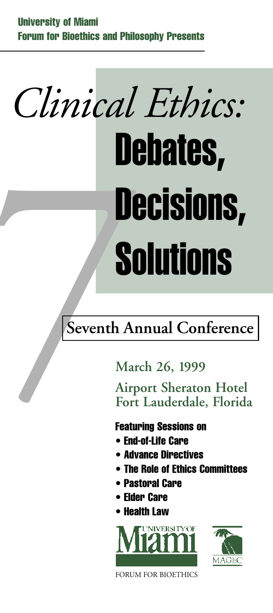## *Clinical Ethics:* Seventh An<br>March An<br>March An<br>Airpe<br>Fort<br>Featur<br>Featur<br>Retur<br>Retur<br>Retur **Debates, Decisions, Solutions**

### **Seventh Annual Conference**

**March 26, 1999**

**Airport Sheraton Hotel Fort Lauderdale, Florida**

#### **Featuring Sessions on**

- **• End-of-Life Care**
- **• Advance Directives**
- **• The Role of Ethics Committees**
- **• Pastoral Care**
- **• Elder Care**
- **• Health Law**





FORUM FOR BIOETHICS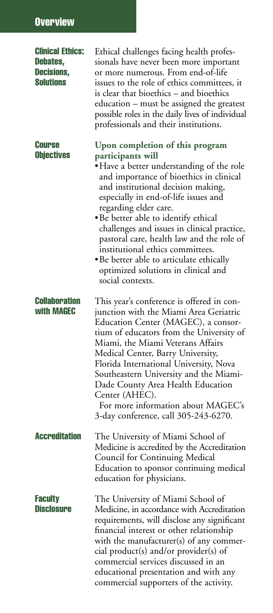#### **Overview**

| <b>Clinical Ethics:</b><br>Debates,<br><b>Decisions,</b><br><b>Solutions</b> | Ethical challenges facing health profes-<br>sionals have never been more important<br>or more numerous. From end-of-life<br>issues to the role of ethics committees, it<br>is clear that bioethics - and bioethics<br>education – must be assigned the greatest<br>possible roles in the daily lives of individual<br>professionals and their institutions.                                                                                                                                                                        |
|------------------------------------------------------------------------------|------------------------------------------------------------------------------------------------------------------------------------------------------------------------------------------------------------------------------------------------------------------------------------------------------------------------------------------------------------------------------------------------------------------------------------------------------------------------------------------------------------------------------------|
| <b>Course</b><br><b>Objectives</b>                                           | Upon completion of this program<br>participants will<br>• Have a better understanding of the role<br>and importance of bioethics in clinical<br>and institutional decision making,<br>especially in end-of-life issues and<br>regarding elder care.<br>· Be better able to identify ethical<br>challenges and issues in clinical practice,<br>pastoral care, health law and the role of<br>institutional ethics committees.<br>· Be better able to articulate ethically<br>optimized solutions in clinical and<br>social contexts. |
| <b>Collaboration</b><br>with MAGEC                                           | This year's conference is offered in con-<br>junction with the Miami Area Geriatric<br>Education Center (MAGEC), a consor-<br>tium of educators from the University of<br>Miami, the Miami Veterans Affairs<br>Medical Center, Barry University,<br>Florida International University, Nova<br>Southeastern University and the Miami-<br>Dade County Area Health Education<br>Center (AHEC).<br>For more information about MAGEC's<br>3-day conference, call 305-243-6270.                                                          |
| <b>Accreditation</b>                                                         | The University of Miami School of<br>Medicine is accredited by the Accreditation<br>Council for Continuing Medical<br>Education to sponsor continuing medical<br>education for physicians.                                                                                                                                                                                                                                                                                                                                         |
| <b>Faculty</b><br><b>Disclosure</b>                                          | The University of Miami School of<br>Medicine, in accordance with Accreditation<br>requirements, will disclose any significant<br>financial interest or other relationship<br>with the manufacturer(s) of any commer-<br>cial product(s) and/or provider(s) of<br>commercial services discussed in an<br>educational presentation and with any<br>commercial supporters of the activity.                                                                                                                                           |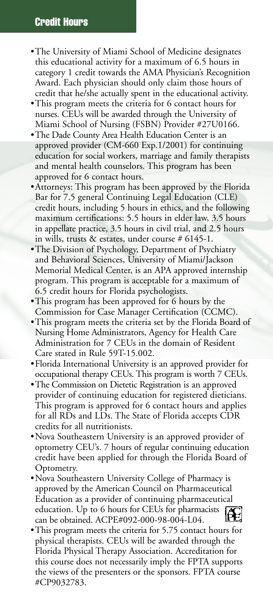#### **Credit Hours**

- •The University of Miami School of Medicine designates this educational activity for a maximum of 6.5 hours in category 1 credit towards the AMA Physician's Recognition Award. Each physician should only claim those hours of credit that he/she actually spent in the educational activity.
- •This program meets the criteria for 6 contact hours for nurses. CEUs will be awarded through the University of Miami School of Nursing (FSBN) Provider #27U0166.
- •The Dade County Area Health Education Center is an approved provider (CM-660 Exp.1/2001) for continuing education for social workers, marriage and family therapists and mental health counselors. This program has been approved for 6 contact hours.
- •Attorneys: This program has been approved by the Florida Bar for 7.5 general Continuing Legal Education (CLE) credit hours, including 5 hours in ethics, and the following maximum certifications: 5.5 hours in elder law, 3.5 hours in appellate practice, 3.5 hours in civil trial, and 2.5 hours in wills, trusts & estates, under course # 6145-1.
- •The Division of Psychology, Department of Psychiatry and Behavioral Sciences, University of Miami/Jackson Memorial Medical Center, is an APA approved internship program. This program is acceptable for a maximum of 6.5 credit hours for Florida psychologists.
- •This program has been approved for 6 hours by the Commission for Case Manager Certification (CCMC).
- •This program meets the criteria set by the Florida Board of Nursing Home Administrators, Agency for Health Care Administration for 7 CEUs in the domain of Resident Care stated in Rule 59T-15.002.
- •Florida International University is an approved provider for occupational therapy CEUs. This program is worth 7 CEUs.
- •The Commission on Dietetic Registration is an approved provider of continuing education for registered dieticians. This program is approved for 6 contact hours and applies for all RDs and LDs. The State of Florida accepts CDR credits for all nutritionists.
- •Nova Southeastern University is an approved provider of optometry CEU's. 7 hours of regular continuing education credit have been applied for through the Florida Board of Optometry.
- •Nova Southeastern University College of Pharmacy is approved by the American Council on Pharmaceutical Education as a provider of continuing pharmaceutical education. Up to 6 hours for CEUs for pharmacists can be obtained. ACPE#092-000-98-004-L04.
- •This program meets the criteria for 5.75 contact hours for physical therapists. CEUs will be awarded through the Florida Physical Therapy Association. Accreditation for this course does not necessarily imply the FPTA supports the views of the presenters or the sponsors. FPTA course #CP9032783.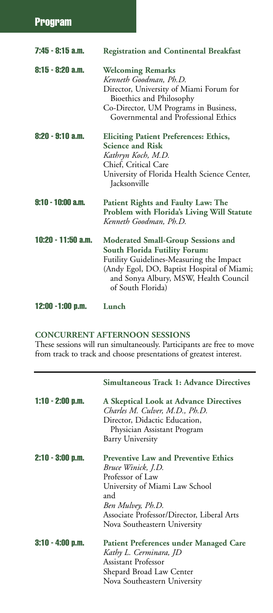| 7:45 - 8:15 a.m.   | <b>Registration and Continental Breakfast</b>                                                                                                                                                                                             |  |  |
|--------------------|-------------------------------------------------------------------------------------------------------------------------------------------------------------------------------------------------------------------------------------------|--|--|
| 8:15 - 8:20 a.m.   | <b>Welcoming Remarks</b><br>Kenneth Goodman, Ph.D.<br>Director, University of Miami Forum for<br>Bioethics and Philosophy<br>Co-Director, UM Programs in Business,<br>Governmental and Professional Ethics                                |  |  |
| 8:20 - 9:10 a.m.   | <b>Eliciting Patient Preferences: Ethics,</b><br><b>Science and Risk</b><br>Kathryn Koch, M.D.<br>Chief, Critical Care<br>University of Florida Health Science Center,<br>Jacksonville                                                    |  |  |
| 9:10 - 10:00 a.m.  | Patient Rights and Faulty Law: The<br>Problem with Florida's Living Will Statute<br>Kenneth Goodman, Ph.D.                                                                                                                                |  |  |
| 10:20 - 11:50 a.m. | <b>Moderated Small-Group Sessions and</b><br><b>South Florida Futility Forum:</b><br>Futility Guidelines-Measuring the Impact<br>(Andy Egol, DO, Baptist Hospital of Miami;<br>and Sonya Albury, MSW, Health Council<br>of South Florida) |  |  |
| 12:00 - 1:00 p.m.  | Lunch                                                                                                                                                                                                                                     |  |  |

#### **CONCURRENT AFTERNOON SESSIONS**

These sessions will run simultaneously. Participants are free to move from track to track and choose presentations of greatest interest.

|                    | <b>Simultaneous Track 1: Advance Directives</b>                                                                                                                                                                                   |  |
|--------------------|-----------------------------------------------------------------------------------------------------------------------------------------------------------------------------------------------------------------------------------|--|
| $1:10 - 2:00$ p.m. | <b>A Skeptical Look at Advance Directives</b><br>Charles M. Culver, M.D., Ph.D.<br>Director, Didactic Education,<br>Physician Assistant Program<br>Barry University                                                               |  |
| $2:10 - 3:00$ p.m. | <b>Preventive Law and Preventive Ethics</b><br>Bruce Winick, J.D.<br>Professor of Law<br>University of Miami Law School<br>and<br>Ben Mulvey, Ph.D.<br>Associate Professor/Director, Liberal Arts<br>Nova Southeastern University |  |
| $3:10 - 4:00$ p.m. | <b>Patient Preferences under Managed Care</b><br>Kathy L. Cerminara, JD<br>Assistant Professor<br>Shepard Broad Law Center<br>Nova Southeastern University                                                                        |  |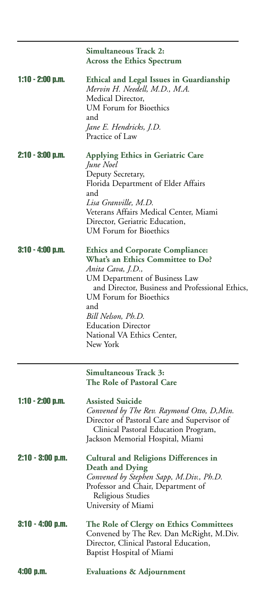|                    | <b>Simultaneous Track 2:</b><br><b>Across the Ethics Spectrum</b>                                                                                                                                                                                                                                                          |  |  |  |
|--------------------|----------------------------------------------------------------------------------------------------------------------------------------------------------------------------------------------------------------------------------------------------------------------------------------------------------------------------|--|--|--|
| $1:10 - 2:00$ p.m. | Ethical and Legal Issues in Guardianship<br>Mervin H. Needell, M.D., M.A.<br>Medical Director,<br>UM Forum for Bioethics<br>and<br>Jane E. Hendricks, J.D.<br>Practice of Law                                                                                                                                              |  |  |  |
| $2:10 - 3:00$ p.m. | Applying Ethics in Geriatric Care<br>June Noel<br>Deputy Secretary,<br>Florida Department of Elder Affairs<br>and<br>Lisa Granville, M.D.<br>Veterans Affairs Medical Center, Miami<br>Director, Geriatric Education,<br>UM Forum for Bioethics                                                                            |  |  |  |
| $3:10 - 4:00$ p.m. | <b>Ethics and Corporate Compliance:</b><br><b>What's an Ethics Committee to Do?</b><br>Anita Cava, J.D.,<br>UM Department of Business Law<br>and Director, Business and Professional Ethics,<br>UM Forum for Bioethics<br>and<br>Bill Nelson, Ph.D.<br><b>Education Director</b><br>National VA Ethics Center,<br>New York |  |  |  |
|                    | Simultaneous Track 3:<br><b>The Role of Pastoral Care</b>                                                                                                                                                                                                                                                                  |  |  |  |
| $1:10 - 2:00$ p.m. | <b>Assisted Suicide</b><br>Convened by The Rev. Raymond Otto, D, Min.<br>Director of Pastoral Care and Supervisor of<br>Clinical Pastoral Education Program,<br>Jackson Memorial Hospital, Miami                                                                                                                           |  |  |  |
| 2:10 - 3:00 p.m.   | <b>Cultural and Religions Differences in</b><br><b>Death and Dying</b><br>Convened by Stephen Sapp, M.Div., Ph.D.<br>Professor and Chair, Department of<br>Religious Studies<br>University of Miami                                                                                                                        |  |  |  |
| $3:10 - 4:00$ p.m. | The Role of Clergy on Ethics Committees<br>Convened by The Rev. Dan McRight, M.Div.<br>Director, Clinical Pastoral Education,<br>Baptist Hospital of Miami                                                                                                                                                                 |  |  |  |
| $4:00$ p.m.        | <b>Evaluations &amp; Adjournment</b>                                                                                                                                                                                                                                                                                       |  |  |  |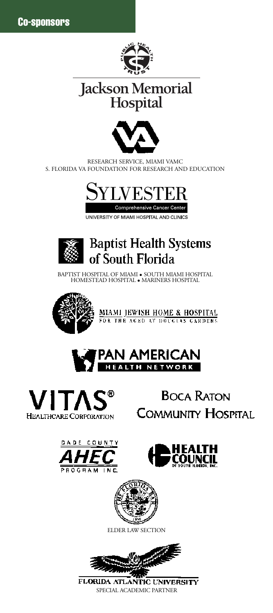

### Jackson Memorial<br>Hospital



RESEARCH SERVICE, MIAMI VAMC S. FLORIDA VA FOUNDATION FOR RESEARCH AND EDUCATION



UNIVERSITY OF MIAMI HOSPITAL AND CLINICS



BAPTIST HOSPITAL OF MIAMI • SOUTH MIAMI HOSPITAL HOMESTEAD HOSPITAL • MARINERS HOSPITAL







**BOCA RATON COMMUNITY HOSPITAL** 







ELDER LAW SECTION



FLORIDA ATLANTIC UNIVERSITY SPECIAL ACADEMIC PARTNER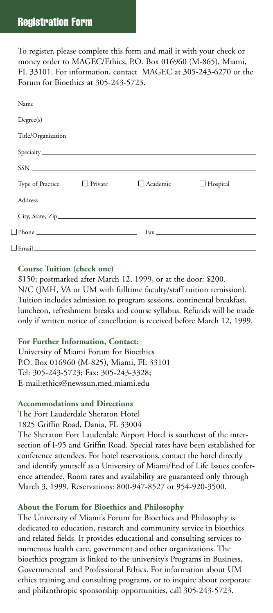#### **Registration Form**

To register, please complete this form and mail it with your check or money order to MAGEC/Ethics, P.O. Box 016960 (M-865), Miami, FL 33101. For information, contact MAGEC at 305-243-6270 or the Forum for Bioethics at 305-243-5723.

| Type of Practice                                                                                                                                                                                                                   | □ Private | $\Box$ Academic | $\Box$ Hospital |
|------------------------------------------------------------------------------------------------------------------------------------------------------------------------------------------------------------------------------------|-----------|-----------------|-----------------|
|                                                                                                                                                                                                                                    |           |                 |                 |
|                                                                                                                                                                                                                                    |           |                 |                 |
| $\blacksquare$ Phone $\blacksquare$                                                                                                                                                                                                |           |                 | $Fax \perp$     |
| <b>Lemail Executive Contract Contract Contract Contract Contract Contract Contract Contract Contract Contract Contract Contract Contract Contract Contract Contract Contract Contract Contract Contract Contract Contract Cont</b> |           |                 |                 |

#### **Course Tuition (check one)**

\$150; postmarked after March 12, 1999, or at the door: \$200. N/C (JMH, VA or UM with fulltime faculty/staff tuition remission). Tuition includes admission to program sessions, continental breakfast, luncheon, refreshment breaks and course syllabus. Refunds will be made only if written notice of cancellation is received before March 12, 1999.

#### **For Further Information, Contact:**

University of Miami Forum for Bioethics P.O. Box 016960 (M-825), Miami, FL 33101 Tel: 305-243-5723; Fax: 305-243-3328; E-mail:ethics@newssun.med.miami.edu

#### **Accommodations and Directions**

The Fort Lauderdale Sheraton Hotel

1825 Griffin Road, Dania, FL 33004

The Sheraton Fort Lauderdale Airport Hotel is southeast of the intersection of I-95 and Griffin Road. Special rates have been established for conference attendees. For hotel reservations, contact the hotel directly and identify yourself as a University of Miami/End of Life Issues conference attendee. Room rates and availability are guaranteed only through March 3, 1999. Reservations: 800-947-8527 or 954-920-3500.

#### **About the Forum for Bioethics and Philosophy**

The University of Miami's Forum for Bioethics and Philosophy is dedicated to education, research and community service in bioethics and related fields. It provides educational and consulting services to numerous health care, government and other organizations. The bioethics program is linked to the university's Programs in Business, Governmental and Professional Ethics. For information about UM ethics training and consulting programs, or to inquire about corporate and philanthropic sponsorship opportunities, call 305-243-5723.